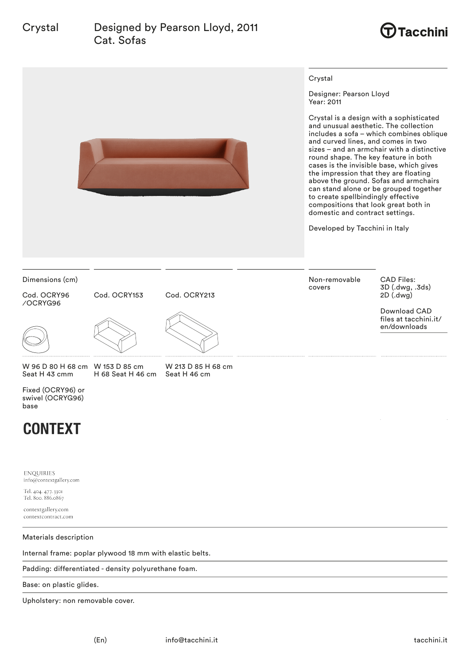

# **CONTEXT**

**ENOUIRIES** info@contextgallery.com

Tel. 404. 477. 3301 Tel. 800. 886.0867

contextgallery.com contextcontract.com

Materials description

Internal frame: poplar plywood 18 mm with elastic belts.

Padding: differentiated - density polyurethane foam.

Base: on plastic glides.

Upholstery: non removable cover.